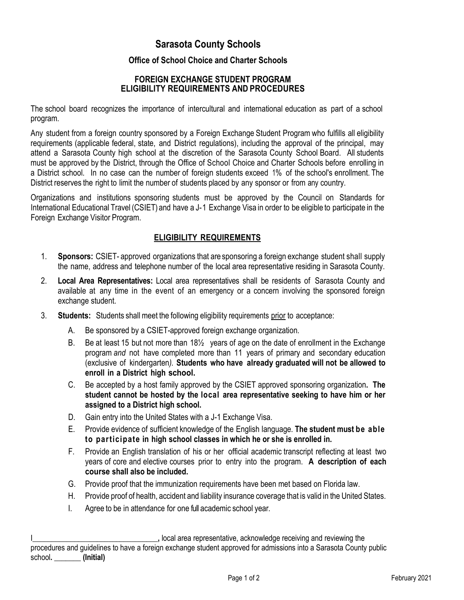# **Sarasota County Schools**

## **Office of School Choice and Charter Schools**

## **FOREIGN EXCHANGE STUDENT PROGRAM ELIGIBILITY REQUIREMENTS AND PROCEDURES**

The school board recognizes the importance of intercultural and international education as part of a school program.

Any student from a foreign country sponsored by a Foreign Exchange Student Program who fulfills all eligibility requirements (applicable federal, state, and District regulations), including the approval of the principal, may attend a Sarasota County high school at the discretion of the Sarasota County School Board. All students must be approved by the District, through the Office of School Choice and Charter Schools before enrolling in a District school. In no case can the number of foreign students exceed 1% of the school's enrollment. The District reserves the right to limit the number of students placed by any sponsor or from any country.

Organizations and institutions sponsoring students must be approved by the Council on Standards for International Educational Travel (CSIET) and have a J-1 Exchange Visa in order to be eligible to participate in the Foreign Exchange Visitor Program.

## **ELIGIBILITY REQUIREMENTS**

- 1. **Sponsors:** CSIET- approved organizations that are sponsoring a foreign exchange student shall supply the name, address and telephone number of the local area representative residing in Sarasota County.
- 2. **Local Area Representatives:** Local area representatives shall be residents of Sarasota County and available at any time in the event of an emergency or a concern involving the sponsored foreign exchange student.
- 3. **Students:** Students shall meet the following eligibility requirements prior to acceptance:
	- A. Be sponsored by a CSIET-approved foreign exchange organization.
	- B. Be at least 15 but not more than 18½ years of age on the date of enrollment in the Exchange program *and* not have completed more than 11 years of primary and secondary education (exclusive of kindergarten*).* **Students who have already graduated will not be allowed to enroll in a District high school.**
	- C. Be accepted by a host family approved by the CSIET approved sponsoring organization**. The student cannot be hosted by the local area representative seeking to have him or her assigned to a District high school.**
	- D. Gain entry into the United States with a J-1 Exchange Visa.
	- E. Provide evidence of sufficient knowledge of the English language. **The student must be able to participate in high school classes in which he or she is enrolled in.**
	- F. Provide an English translation of his or her official academic transcript reflecting at least two years of core and elective courses prior to entry into the program. **A description of each course shall also be included.**
	- G. Provide proof that the immunization requirements have been met based on Florida law.
	- H. Provide proof of health, accident and liability insurance coverage that is valid in the United States.
	- I. Agree to be in attendance for one full academic school year.

I**\_\_\_\_\_\_\_\_\_\_\_\_\_\_\_\_\_\_\_\_\_\_\_\_\_\_\_\_\_\_\_\_\_,** local area representative, acknowledge receiving and reviewing the procedures and guidelines to have a foreign exchange student approved for admissions into a Sarasota County public school**. \_\_\_\_\_\_\_ (Initial)**